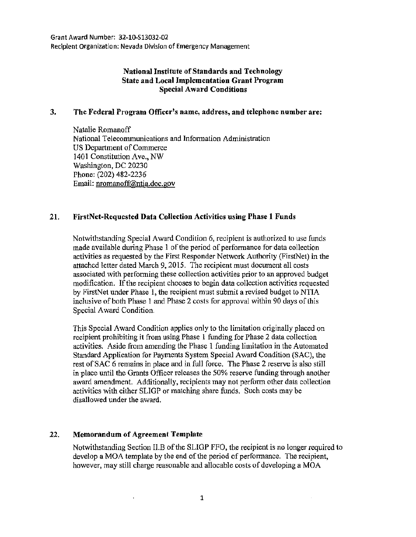Grant Award Number: 32~1Q-Sl3032~02 Recipient Organization: Nevada Division of Emergency Management

## National Institute of Standards and Technology State and Local Implementation Grant Program Special Award Conditions

## 3. The Federal Program Officer's name, address, and telephone number are:

Natalie Romanoff National Telecommunications and Information Administration US Department of Commerce 1401 Constitution Ave., NW Washington, DC 20230 Phone: (202) 482-2236 Email: nromanoff@ntia.doc.gov

## 21. FirstNet·Requestcd Data Collection Activities using Phase 1 Funds

Notwithstanding Special Award Condition 6, recipient is authorized to use funds made available during Phase I of the period of performance for data collection activities as requested by the First Responder Network Authority (FirstNet) in the attached letter dated March 9, 2015. The recipient must document all costs associated with performing these collection activities prior to an approved budget modification. If the recipient chooses to begin data collection activities requested by FirstNet under Phase 1, the recipient must submit a revised budget to NTIA inclusive of both Phase I and Phase 2 costs for approval within 90 days of this Special Award Condition.

This Special Award Condition applies only to the limitation originally placed on recipient prohibiting it from using Phase 1 funding for Phase 2 data collection activities. Aside from amending the Phase 1 funding limitation in the Automated Standard Application for Payments System Special Award Condition (SAC), the rest of SAC 6 remains in place and in full force. The Phase 2 reserve is also still in place until the Grants Officer releases the 50% reserve funding through another award amendment. Additionally, recipients may not perform other data collection activities with either SLIGP or matching share funds. Such costs may be disallowed under the award.

## 22. Memorandum of Agreement Template

 $\epsilon$ 

Notwithstanding Section II.B of the SLIGP FFO, the recipient is no longer required to develop a MOA template by the end of the period of performance. The recipient, however, may still charge reasonable and allocable costs of developing a MOA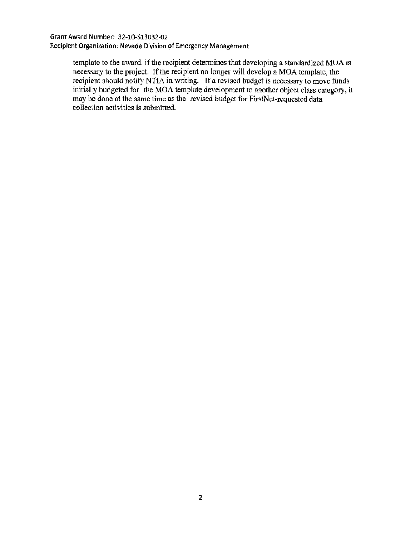Grant Award Number: 32-10-513032-02 Recipient Organization: Nevada Division of Emergency Management

> template to the award, if the recipient determines that developing a standardized MOA is necessary to the project. If the recipient no longer will develop a MOA template, the recipient should notify NTIA in writing. If a revised budget is necessary to move funds initially budgeted for the MOA template development to another object class category, it may be done at the same time as the revised budget for FirstNet-requested data collection activities is submitted.

 $\bar{1}$ 

 $\bar{z}$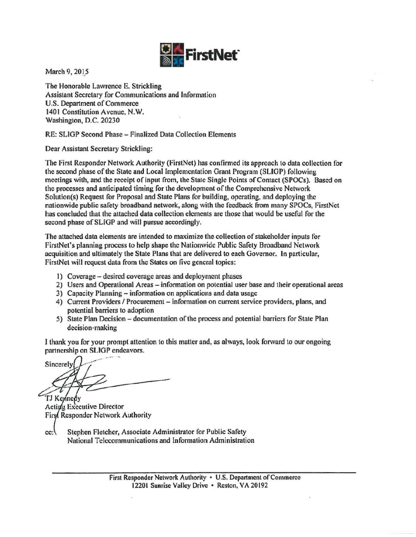

March 9, 2015

The Honorable Lawrence E. Strickling Assistant Secretary for Communications and Information U.S. Department of Commerce 1401 Constitution Avenue, N.W. Washington, D.C. 20230

RE: SLIGP Second Phase - Finalized Data Collection Elements

Dear Assistant Secretary Strickling:

The First Responder Network Authority (FirstNet) has confirmed its approach to data collection for the second phase of the State and Local Implementation Grant Program (SLIGP) following meetings with, and the receipt of input from, the State Single Points of Contact (SPOCs). Based on the processes and anticipated timing for the development of the Comprehensive Network Solution(s) Request for Proposal and State Plans for building, operating, and deploying the nationwide public safety broadband network, along with the feedback from many SPOCs, FirstNet has concluded that the attached data collection clements are those that would be useful for the second phase of SLIGP and will pursue accordingly.

The attached data elements are intended to maximize the collection of stakeholder inputs for FirstNct's planning process to help shape the Nationwide Public Safety Broadband Network acquisition and ultimately the State Plans that are delivered to each Governor. In particular, FirstNet will request data from the States on five general topics:

- I) Coverage -desired coverage areas and deployment phases
- 2) Users and Operational Areas- information on potential user base and their operational areas
- 3) Capacity Planning- infonnation on applications and data usage
- 4) Current Providers / Procurement information on current service providers, plans, and potential barriers to adoption
- 5) State Plan Decision- documentation of the process and potential barriers for State Plan decision-making

1 thank you for your prompt attention to this matter and, as always, look forward to our ongoing partnership on SLIGP endeavors.

Sincerely

TJ Keynedy Acting Executive Director First Responder Network Authority

 $cc$ : Stephen Fletcher, Associate Administrator for Public Safety National Telecommunications and Information Administration